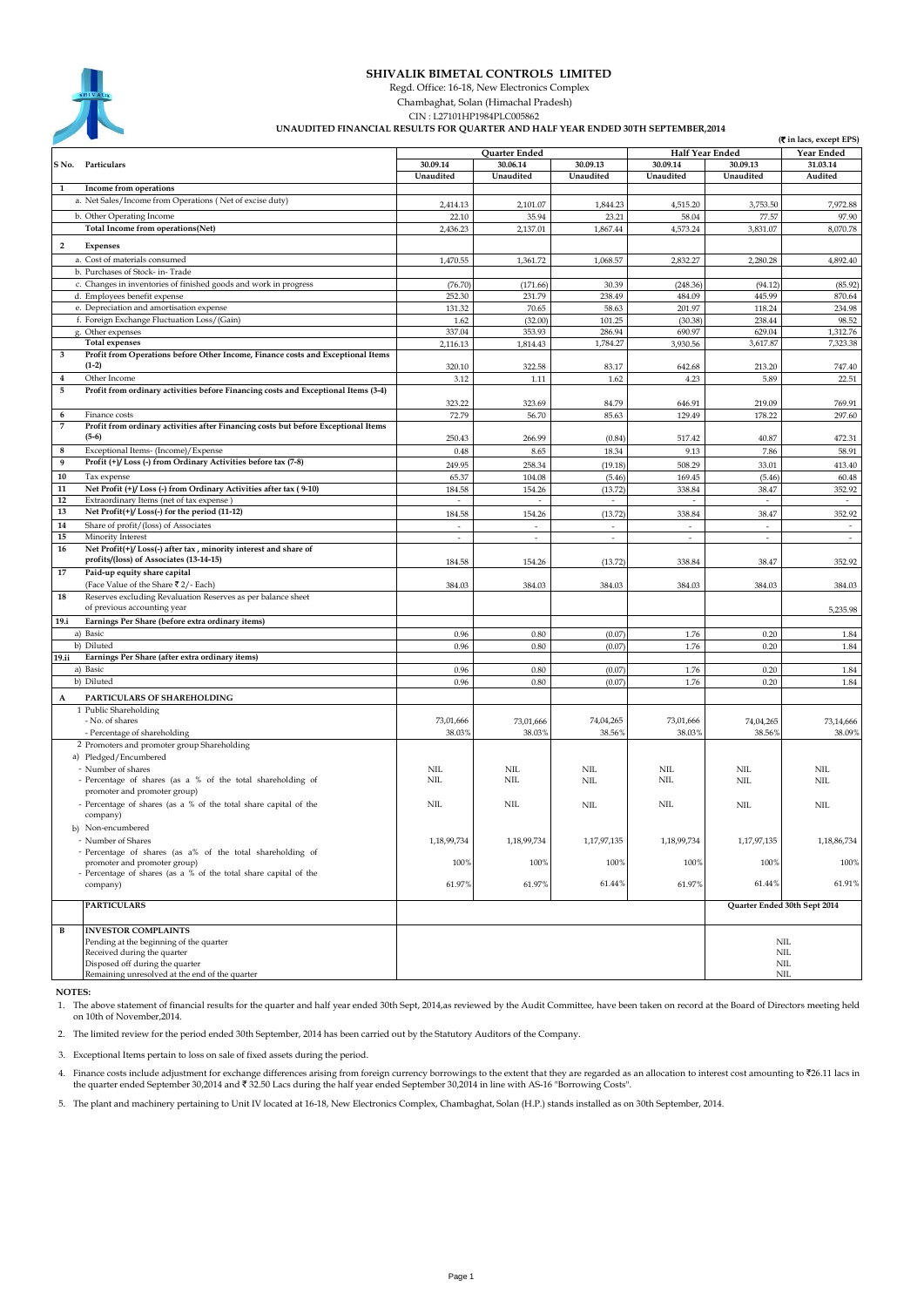| <b>SHIVALIK</b> |
|-----------------|
|                 |
|                 |

## **SHIVALIK BIMETAL CONTROLS LIMITED**

Regd. Office: 16-18, New Electronics Complex

Chambaghat, Solan (Himachal Pradesh)

 **UNAUDITED FINANCIAL RESULTS FOR QUARTER AND HALF YEAR ENDED 30TH SEPTEMBER,2014** CIN : L27101HP1984PLC005862

|                         |                                                                                    |                   |                          |             |                          |             | (₹ in lacs, except EPS)      |
|-------------------------|------------------------------------------------------------------------------------|-------------------|--------------------------|-------------|--------------------------|-------------|------------------------------|
|                         |                                                                                    |                   | Quarter Ended            |             | <b>Half Year Ended</b>   |             | Year Ended                   |
|                         | S No. Particulars                                                                  | 30.09.14          | 30.06.14                 | 30.09.13    | 30.09.14                 | 30.09.13    | 31.03.14                     |
|                         |                                                                                    | Unaudited         | Unaudited                | Unaudited   | Unaudited                | Unaudited   | Audited                      |
| 1                       | Income from operations                                                             |                   |                          |             |                          |             |                              |
|                         | a. Net Sales/Income from Operations (Net of excise duty)                           | 2,414.13          | 2,101.07                 | 1,844.23    | 4,515.20                 | 3,753.50    | 7,972.88                     |
|                         | b. Other Operating Income                                                          | 22.10             | 35.94                    | 23.21       | 58.04                    | 77.57       | 97.90                        |
|                         | Total Income from operations(Net)                                                  | 2,436.23          | 2,137.01                 | 1,867.44    | 4,573.24                 | 3,831.07    | 8,070.78                     |
|                         |                                                                                    |                   |                          |             |                          |             |                              |
| $\overline{\mathbf{2}}$ | Expenses                                                                           |                   |                          |             |                          |             |                              |
|                         | a. Cost of materials consumed                                                      | 1,470.55          | 1,361.72                 | 1,068.57    | 2,832.27                 | 2,280.28    | 4,892.40                     |
|                         | b. Purchases of Stock- in-Trade                                                    |                   |                          |             |                          |             |                              |
|                         | c. Changes in inventories of finished goods and work in progress                   | (76.70)           | (171.66)                 | 30.39       | (248.36)                 | (94.12)     | (85.92)                      |
|                         | d. Employees benefit expense                                                       | 252.30            | 231.79                   | 238.49      | 484.09                   | 445.99      | 870.64                       |
|                         | e. Depreciation and amortisation expense                                           | 131.32            | 70.65                    | 58.63       | 201.97                   | 118.24      | 234.98                       |
|                         | f. Foreign Exchange Fluctuation Loss/(Gain)                                        | 1.62              | (32.00)                  | 101.25      | (30.38)                  | 238.44      | 98.52                        |
|                         | g. Other expenses                                                                  | 337.04            | 353.93                   | 286.94      | 690.97                   | 629.04      | 1,312.76                     |
|                         | <b>Total expenses</b>                                                              | 2,116.13          | 1,814.43                 | 1,784.27    | 3,930.56                 | 3,617.87    | 7,323.38                     |
| 3                       | Profit from Operations before Other Income, Finance costs and Exceptional Items    |                   |                          |             |                          |             |                              |
|                         | $(1-2)$                                                                            | 320.10            | 322.58                   | 83.17       | 642.68                   | 213.20      | 747.40                       |
| 4                       | Other Income                                                                       | 3.12              | 1.11                     | 1.62        | 4.23                     | 5.89        | 22.51                        |
| 5                       | Profit from ordinary activities before Financing costs and Exceptional Items (3-4) |                   |                          |             |                          |             |                              |
|                         |                                                                                    |                   |                          |             |                          |             |                              |
|                         |                                                                                    | 323.22            | 323.69                   | 84.79       | 646.91                   | 219.09      | 769.91                       |
| 6                       | Finance costs                                                                      | 72.79             | 56.70                    | 85.63       | 129.49                   | 178.22      | 297.60                       |
| 7                       | Profit from ordinary activities after Financing costs but before Exceptional Items |                   |                          |             |                          |             |                              |
|                         | $(5-6)$                                                                            | 250.43            | 266.99                   | (0.84)      | 517.42                   | 40.87       | 472.31                       |
| 8                       | Exceptional Items- (Income)/Expense                                                | 0.48              | 8.65                     | 18.34       | 9.13                     | 7.86        | 58.91                        |
| 9                       | Profit (+)/Loss (-) from Ordinary Activities before tax (7-8)                      | 249.95            | 258.34                   | (19.18)     | 508.29                   | 33.01       | 413.40                       |
| 10                      | Tax expense                                                                        | 65.37             | 104.08                   | (5.46)      | 169.45                   | (5.46)      | 60.48                        |
| 11                      | Net Profit (+)/Loss (-) from Ordinary Activities after tax (9-10)                  | 184.58            | 154.26                   | (13.72)     | 338.84                   | 38.47       | 352.92                       |
| 12                      | Extraordinary Items (net of tax expense)                                           | $\sim$            | $\overline{\phantom{a}}$ | $\sim$      | $\overline{\phantom{a}}$ | $\sim$      | $\overline{\phantom{a}}$     |
| 13                      | Net Profit(+)/Loss(-) for the period (11-12)                                       | 184.58            | 154.26                   | (13.72)     | 338.84                   | 38.47       | 352.92                       |
| 14                      | Share of profit/(loss) of Associates                                               |                   |                          |             |                          |             |                              |
| 15                      | Minority Interest                                                                  | ÷.                | ÷                        | $\sim$      | ÷                        | ÷.          | $\sim$                       |
| 16                      | Net Profit(+)/Loss(-) after tax, minority interest and share of                    |                   |                          |             |                          |             |                              |
|                         | profits/(loss) of Associates (13-14-15)                                            |                   |                          |             |                          |             |                              |
| 17                      |                                                                                    | 184.58            | 154.26                   | (13.72)     | 338.84                   | 38.47       | 352.92                       |
|                         | Paid-up equity share capital                                                       |                   |                          |             |                          |             |                              |
|                         | (Face Value of the Share ₹2/- Each)                                                | 384.03            | 384.03                   | 384.03      | 384.03                   | 384.03      | 384.03                       |
| 18                      | Reserves excluding Revaluation Reserves as per balance sheet                       |                   |                          |             |                          |             |                              |
|                         | of previous accounting year                                                        |                   |                          |             |                          |             | 5,235.98                     |
| 19.i                    | Earnings Per Share (before extra ordinary items)                                   |                   |                          |             |                          |             |                              |
|                         | a) Basic                                                                           | 0.96              | 0.80                     | (0.07)      | 1.76                     | 0.20        | 1.84                         |
|                         | b) Diluted                                                                         | 0.96              | 0.80                     | (0.07)      | 1.76                     | 0.20        | 1.84                         |
| 19.ii                   | Earnings Per Share (after extra ordinary items)                                    |                   |                          |             |                          |             |                              |
|                         | a) Basic                                                                           | 0.96              | 0.80                     | (0.07)      | 1.76                     | 0.20        | 1.84                         |
|                         | b) Diluted                                                                         | 0.96              | 0.80                     | (0.07)      | 1.76                     | 0.20        | 1.84                         |
| A                       | PARTICULARS OF SHAREHOLDING                                                        |                   |                          |             |                          |             |                              |
|                         | 1 Public Shareholding                                                              |                   |                          |             |                          |             |                              |
|                         | - No. of shares                                                                    | 73,01,666         | 73,01,666                | 74,04,265   | 73,01,666                | 74,04,265   | 73,14,666                    |
|                         | - Percentage of shareholding                                                       | 38.03%            | 38.03%                   | 38.56%      | 38.03%                   | 38.56%      | 38.09%                       |
|                         |                                                                                    |                   |                          |             |                          |             |                              |
|                         | 2 Promoters and promoter group Shareholding                                        |                   |                          |             |                          |             |                              |
|                         | a) Pledged/Encumbered                                                              |                   |                          |             |                          |             |                              |
|                         | - Number of shares                                                                 | NIL<br><b>NIL</b> | <b>NIL</b><br>NIL        | <b>NIL</b>  | <b>NIL</b>               | <b>NIL</b>  | <b>NIL</b>                   |
|                         | - Percentage of shares (as a % of the total shareholding of                        |                   |                          | <b>NIL</b>  | NIL                      | NIL         | <b>NIL</b>                   |
|                         | promoter and promoter group)                                                       |                   |                          |             |                          |             |                              |
|                         | - Percentage of shares (as a % of the total share capital of the                   | <b>NIL</b>        | NIL                      | NIL         | <b>NIL</b>               | <b>NIL</b>  | <b>NIL</b>                   |
|                         | company)                                                                           |                   |                          |             |                          |             |                              |
|                         | b) Non-encumbered                                                                  |                   |                          |             |                          |             |                              |
|                         | - Number of Shares                                                                 | 1,18,99,734       | 1,18,99,734              | 1,17,97,135 | 1,18,99,734              | 1,17,97,135 | 1,18,86,734                  |
|                         | - Percentage of shares (as a% of the total shareholding of                         |                   |                          |             |                          |             |                              |
|                         | promoter and promoter group)                                                       | 100%              | 100%                     | 100%        | 100%                     | 100%        | 100%                         |
|                         | - Percentage of shares (as a % of the total share capital of the                   |                   |                          |             |                          |             |                              |
|                         | company)                                                                           | 61.97%            | 61.97%                   | 61.44%      | 61.97%                   | 61.44%      | 61.91%                       |
|                         |                                                                                    |                   |                          |             |                          |             |                              |
|                         | <b>PARTICULARS</b>                                                                 |                   |                          |             |                          |             | Quarter Ended 30th Sept 2014 |
|                         |                                                                                    |                   |                          |             |                          |             |                              |
| B                       | <b>INVESTOR COMPLAINTS</b>                                                         |                   |                          |             |                          |             |                              |
|                         | Pending at the beginning of the quarter                                            |                   |                          |             |                          |             | $\rm NIL$                    |
|                         | Received during the quarter                                                        |                   |                          |             |                          |             | NIL                          |
|                         | Disposed off during the quarter                                                    |                   |                          |             |                          |             | $\rm NIL$                    |
|                         | Remaining unresolved at the end of the quarter                                     |                   |                          |             |                          |             | $\rm NIL$                    |

 **NOTES:**

1. The above statement of financial results for the quarter and half year ended 30th Sept, 2014,as reviewed by the Audit Committee, have been taken on record at the Board of Directors meeting held on 10th of November,2014.

2. The limited review for the period ended 30th September, 2014 has been carried out by the Statutory Auditors of the Company.

3. Exceptional Items pertain to loss on sale of fixed assets during the period.

4. Finance costs include adjustment for exchange differences arising from foreign currency borrowings to the extent that they are regarded as an allocation to interest cost amounting to ₹26.11 lacs in the quarter ended Se

5. The plant and machinery pertaining to Unit IV located at 16-18, New Electronics Complex, Chambaghat, Solan (H.P.) stands installed as on 30th September, 2014.